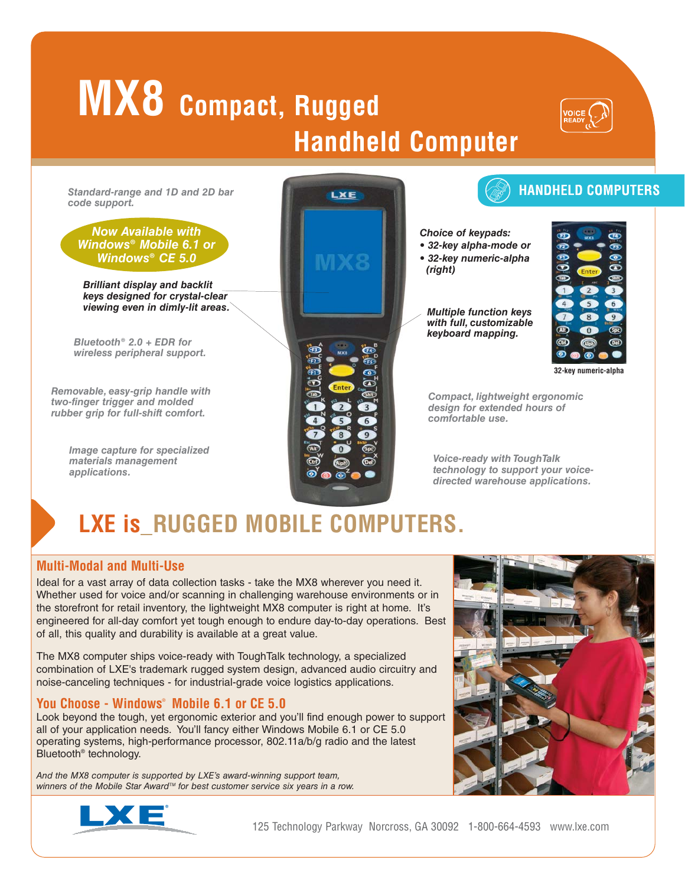# **MX8 Compact, Rugged Handheld Computer**



*Standard-range and 1D and 2D bar code support.*

## *Now Available with Windows® Mobile 6.1 or Windows® CE 5.0*

*Brilliant display and backlit keys designed for crystal-clear viewing even in dimly-lit areas.*

*Bluetooth® 2.0 + EDR for wireless peripheral support.*

*Removable, easy-grip handle with two-finger trigger and molded rubber grip for full-shift comfort.*

> *Image capture for specialized materials management applications.*

# LXE

# **HANDHELD COMPUTERS**

*Choice of keypads:*

*• 32-key alpha-mode or • 32-key numeric-alpha* 

*(right)*

*Multiple function keys with full, customizable keyboard mapping.* 



**32-key numeric-alpha**

*Compact, lightweight ergonomic design for extended hours of comfortable use.*

*Voice-ready with ToughTalk technology to support your voicedirected warehouse applications.*

# **LXE is\_RUGGED MOBILE COMPUTERS.**

# **Multi-Modal and Multi-Use**

Ideal for a vast array of data collection tasks - take the MX8 wherever you need it. Whether used for voice and/or scanning in challenging warehouse environments or in the storefront for retail inventory, the lightweight MX8 computer is right at home. It's engineered for all-day comfort yet tough enough to endure day-to-day operations. Best of all, this quality and durability is available at a great value.

The MX8 computer ships voice-ready with ToughTalk technology, a specialized combination of LXE's trademark rugged system design, advanced audio circuitry and noise-canceling techniques - for industrial-grade voice logistics applications.

# **You Choose - Windows**® **Mobile 6.1 or CE 5.0**

Look beyond the tough, yet ergonomic exterior and you'll find enough power to support all of your application needs. You'll fancy either Windows Mobile 6.1 or CE 5.0 operating systems, high-performance processor, 802.11a/b/g radio and the latest Bluetooth® technology.

*And the MX8 computer is supported by LXE's award-winning support team, winners of the Mobile Star AwardTM for best customer service six years in a row.*